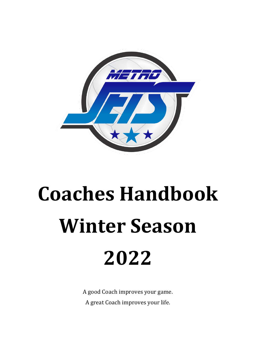

# **Coaches Handbook Winter Season 2022**

A good Coach improves your game. A great Coach improves your life.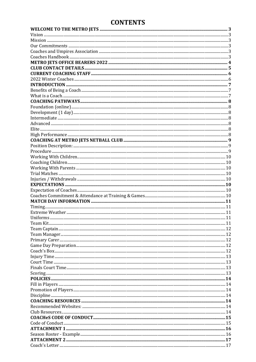# **CONTENTS**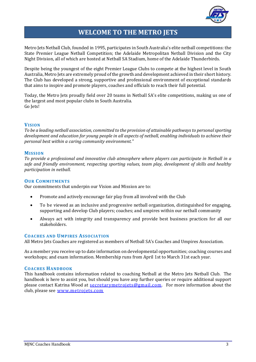

# **WELCOME TO THE METRO JETS**

<span id="page-2-0"></span>Metro Jets Netball Club, founded in 1995, participates in South Australia's elite netball competitions: the State Premier League Netball Competition; the Adelaide Metropolitan Netball Division and the City Night Division, all of which are hosted at Netball SA Stadium, home of the Adelaide Thunderbirds.

Despite being the youngest of the eight Premier League Clubs to compete at the highest level in South Australia, Metro Jets are extremely proud of the growth and development achieved in their short history. The Club has developed a strong, supportive and professional environment of exceptional standards that aims to inspire and promote players, coaches and officials to reach their full potential.

Today, the Metro Jets proudly field over 20 teams in Netball SA's elite competitions, making us one of the largest and most popular clubs in South Australia. Go Jets!

#### <span id="page-2-1"></span>**VISION**

*To be a leading netball association, committed to the provision of attainable pathways to personal sporting development and education for young people in all aspects of netball, enabling individuals to achieve their personal best within a caring community environment."*

#### <span id="page-2-2"></span>**MISSION**

*To provide a professional and innovative club atmosphere where players can participate in Netball in a safe and friendly environment, respecting sporting values, team play, development of skills and healthy participation in netball.*

#### <span id="page-2-3"></span>**OUR COMMITMENTS**

Our commitments that underpin our Vision and Mission are to:

- Promote and actively encourage fair play from all involved with the Club
- To be viewed as an inclusive and progressive netball organization, distinguished for engaging, supporting and develop Club players; coaches; and umpires within our netball community
- Always act with integrity and transparency and provide best business practices for all our stakeholders.

#### <span id="page-2-4"></span>**COACHES AND UMPIRES ASSOCIATION**

All Metro Jets Coaches are registered as members of Netball SA's Coaches and Umpires Association.

As a member you receive up to date information on developmental opportunities; coaching courses and workshops; and exam information. Membership runs from April 1st to March 31st each year.

#### <span id="page-2-5"></span>**COACHES HANDBOOK**

This handbook contains information related to coaching Netball at the Metro Jets Netball Club. The handbook is here to assist you, but should you have any further queries or require additional support please contact Katrina Wood at [secretarymetrojets@gmail.com](mailto:secretarymetrojets@gmail.com). For more information about the club, please see [www.metrojets.com](http://www.metrojets.com/)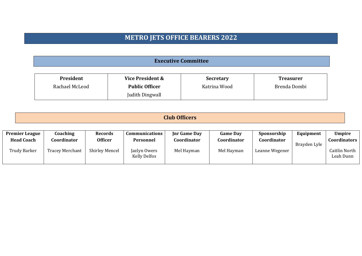# **METRO JETS OFFICE BEARERS 2022**

**Executive Committee**

| President      | Vice President &      | <b>Secretary</b> | <b>Treasurer</b> |
|----------------|-----------------------|------------------|------------------|
| Rachael McLeod | <b>Public Officer</b> | Katrina Wood     | Brenda Dombi     |
|                | Judith Dingwall       |                  |                  |

| ЛT. |  |
|-----|--|
|-----|--|

<span id="page-3-0"></span>

| <b>Premier League</b> | Coaching               | <b>Records</b>        | <b>Communications</b>               | <b>Inr Game Day</b> | <b>Game Day</b> | Sponsorship    | Equipment    | <b>Umpire</b>              |
|-----------------------|------------------------|-----------------------|-------------------------------------|---------------------|-----------------|----------------|--------------|----------------------------|
| <b>Head Coach</b>     | Coordinator            | <b>Officer</b>        | Personnel                           | Coordinator         | Coordinator     | Coordinator    | Brayden Lyle | <b>Coordinators</b>        |
| Trudy Barker          | <b>Tracey Merchant</b> | <b>Shirley Mencel</b> | Jazlyn Owers<br><b>Kelly Delfos</b> | Mel Hayman          | Mel Hayman      | Leanne Wegener |              | Caitlin North<br>Leah Dunn |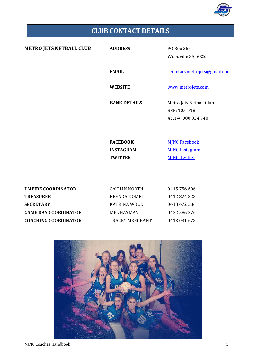

# **CLUB CONTACT DETAILS**

<span id="page-4-0"></span>

| <b>METRO JETS NETBALL CLUB</b> | <b>ADDRESS</b>                                        | PO Box 367<br>Woodville SA 5022                                      |
|--------------------------------|-------------------------------------------------------|----------------------------------------------------------------------|
|                                | <b>EMAIL</b>                                          | secretarymetrojets@gmail.com                                         |
|                                | <b>WEBSITE</b>                                        | www.metrojets.com                                                    |
|                                | <b>BANK DETAILS</b>                                   | Metro Jets Netball Club<br>BSB: 105-018<br>Acct #: 080 324 740       |
|                                | <b>FACEBOOK</b><br><b>INSTAGRAM</b><br><b>TWITTER</b> | <b>MINC Facebook</b><br><b>MJNC</b> Instagram<br><b>MJNC Twitter</b> |

| <b>UMPIRE COORDINATOR</b>   | CAITLIN NORTH   | 0415 756 606 |
|-----------------------------|-----------------|--------------|
| <b>TREASURER</b>            | BRENDA DOMBI    | 0412824828   |
| <b>SECRETARY</b>            | KATRINA WOOD    | 0418 472 536 |
| <b>GAME DAY COORDINATOR</b> | MEL HAYMAN      | 0432 586 376 |
| <b>COACHING COORDINATOR</b> | TRACEY MERCHANT | 0413 031 678 |

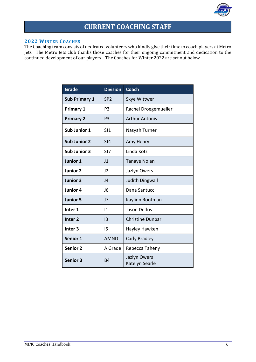![](_page_5_Picture_0.jpeg)

# **CURRENT COACHING STAFF**

#### <span id="page-5-1"></span><span id="page-5-0"></span>**2022 WINTER COACHES**

The Coaching team consists of dedicated volunteers who kindly give their time to coach players at Metro Jets. The Metro Jets club thanks those coaches for their ongoing commitment and dedication to the continued development of our players. The Coaches for Winter 2022 are set out below.

| <b>Grade</b>         | <b>Division</b> | <b>Coach</b>                   |
|----------------------|-----------------|--------------------------------|
| <b>Sub Primary 1</b> | SP <sub>2</sub> | Skye Wittwer                   |
| <b>Primary 1</b>     | P3              | Rachel Droegemueller           |
| <b>Primary 2</b>     | P <sub>3</sub>  | <b>Arthur Antonis</b>          |
| Sub Junior 1         | SJ1             | Nasyah Turner                  |
| <b>Sub Junior 2</b>  | SI4             | Amy Henry                      |
| <b>Sub Junior 3</b>  | SJ7             | Linda Kotz                     |
| Junior 1             | J1              | Tanaye Nolan                   |
| <b>Junior 2</b>      | J2              | Jazlyn Owers                   |
| Junior 3             | J <sub>4</sub>  | Judith Dingwall                |
| Junior 4             | J <sub>6</sub>  | Dana Santucci                  |
| <b>Junior 5</b>      | J <sub>7</sub>  | Kaylinn Rootman                |
| Inter 1              | $\mathsf{I}1$   | Jason Delfos                   |
| Inter <sub>2</sub>   | $\overline{13}$ | <b>Christine Dunbar</b>        |
| Inter <sub>3</sub>   | 15              | Hayley Hawken                  |
| Senior 1             | <b>AMND</b>     | Carly Bradley                  |
| <b>Senior 2</b>      | A Grade         | Rebecca Taheny                 |
| <b>Senior 3</b>      | <b>B4</b>       | Jazlyn Owers<br>Katelyn Searle |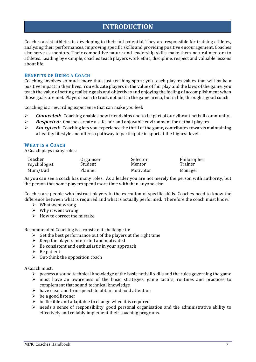# **INTRODUCTION**

<span id="page-6-0"></span>Coaches assist athletes in developing to their full potential. They are responsible for training athletes, analysing their performances, improving specific skills and providing positive encouragement. Coaches also serve as mentors. Their competitive nature and leadership skills make them natural mentors to athletes. Leading by example, coaches teach players work ethic, discipline, respect and valuable lessons about life.

#### <span id="page-6-1"></span>**BENEFITS OF BEING A COACH**

Coaching involves so much more than just teaching sport; you teach players values that will make a positive impact in their lives. You educate players in the value of fair play and the laws of the game; you teach the value of setting realistic goals and objectives and enjoying the feeling of accomplishment when those goals are met. Players learn to trust, not just in the game arena, but in life, through a good coach.

Coaching is a rewarding experience that can make you feel:

- ➢ *Connected:* Coaching enables new friendships and to be part of our vibrant netball community.
- ➢ *Respected:* Coaches create a safe, fair and enjoyable environment for netball players.
- ➢ *Energised:* Coaching lets you experience the thrill of the game, contributes towards maintaining a healthy lifestyle and offers a pathway to participate in sport at the highest level.

#### <span id="page-6-2"></span>**WHAT IS A COACH**

A Coach plays many roles:

| Teacher      | Organiser | Selector  | Philosopher |
|--------------|-----------|-----------|-------------|
| Psychologist | Student   | Mentor    | Trainer     |
| Mum/Dad      | Planner   | Motivator | Manager     |

As you can see a coach has many roles. As a leader you are not merely the person with authority, but the person that some players spend more time with than anyone else.

Coaches are people who instruct players in the execution of specific skills. Coaches need to know the difference between what is required and what is actually performed. Therefore the coach must know:

- ➢ What went wrong
- $\triangleright$  Why it went wrong
- $\triangleright$  How to correct the mistake

Recommended Coaching is a consistent challenge to:

- $\triangleright$  Get the best performance out of the players at the right time
- $\triangleright$  Keep the players interested and motivated
- $\triangleright$  Be consistent and enthusiastic in your approach
- $\triangleright$  Be patient
- $\triangleright$  Out-think the opposition coach

A Coach must:

- $\triangleright$  possess a sound technical knowledge of the basic netball skills and the rules governing the game
- ➢ must have an awareness of the basic strategies, game tactics, routines and practices to complement that sound technical knowledge
- $\triangleright$  have clear and firm speech to obtain and hold attention
- $\triangleright$  be a good listener
- $\triangleright$  be flexible and adaptable to change when it is required
- ➢ needs a sense of responsibility, good personal organisation and the administrative ability to effectively and reliably implement their coaching programs.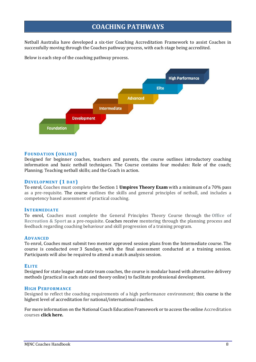# **COACHING PATHWAYS**

<span id="page-7-0"></span>Netball Australia have developed a six-tier Coaching Accreditation Framework to assist Coaches in successfully moving through the Coaches pathway process, with each stage being accredited.

Below is each step of the coaching pathway process.

![](_page_7_Figure_3.jpeg)

#### <span id="page-7-1"></span>**FOUNDATION (ONLINE)**

Designed for beginner coaches, teachers and parents, the course outlines introductory coaching information and basic netball techniques. The Course contains four modules: Role of the coach; Planning; Teaching netball skills; and the Coach in action.

#### <span id="page-7-2"></span>**DEVELOPMENT (1 DAY)**

To enrol, Coaches must complete the Section 1 **[Umpires Theory Exam](http://www.netballaustralia.coursehost.com/Groups/Config/Home6.asp?LID=1&ky=d_BPDiQVRgHzDiPRUmf_DgHzq7bOs6Pz)** with a minimum of a 70% pass as a pre-requisite. The course outlines the skills and general principles of netball, and includes a competency based assessment of practical coaching.

#### <span id="page-7-3"></span>**INTERMEDIATE**

To enrol, Coaches must complete the General Principles Theory Course through the **[Office of](http://sa.netball.com.au/participate/coaches/accreditation/www.recsport.sa.gov.au)  [Recreation & Sport](http://sa.netball.com.au/participate/coaches/accreditation/www.recsport.sa.gov.au)** as a pre-requisite. Coaches receive mentoring through the planning process and feedback regarding coaching behaviour and skill progression of a training program.

#### <span id="page-7-4"></span>**ADVANCED**

To enrol, Coaches must submit two mentor approved session plans from the Intermediate course. The course is conducted over 3 Sundays, with the final assessment conducted at a training session. Participants will also be required to attend a match analysis session.

#### <span id="page-7-5"></span>**ELITE**

Designed for state league and state team coaches, the course is modular based with alternative delivery methods (practical in each state and theory online) to facilitate professional development.

#### <span id="page-7-6"></span>**HIGH PERFORMANCE**

Designed to reflect the coaching requirements of a high performance environment; this course is the highest level of accreditation for national/international coaches.

For more information on the National Coach Education Framework or to access the online Accreditation courses **[click here.](http://my.netball.com.au/common/pages/public/iframe.aspx?entityid=38925&save=0&id=Y82%2frIA%2bSt26f7aEzggnzWigyiVzj6Uok6i3Dn4NvXiRo74Bpxw4nARXQqI86%2b62DvmcdoWLKXlCad6NShB5Gw%3d%3d)**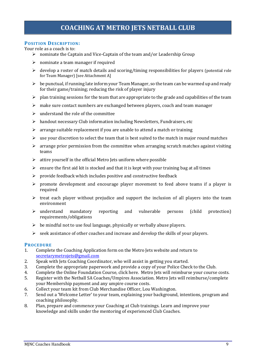#### <span id="page-8-1"></span><span id="page-8-0"></span>**POSITION DESCRIPTION:**

Your role as a coach is to:

- ➢ nominate the Captain and Vice-Captain of the team and/or Leadership Group
- $\triangleright$  nominate a team manager if required
- ➢ develop a roster of match details and scoring/timing responsibilities for players (potential role for Team Manager) [see Attachment A]
- $\triangleright$  be punctual, if running late inform your Team Manager, so the team can be warmed up and ready for their game/training; reducing the risk of player injury
- $\triangleright$  plan training sessions for the team that are appropriate to the grade and capabilities of the team
- ➢ make sure contact numbers are exchanged between players, coach and team manager
- $\triangleright$  understand the role of the committee
- $\triangleright$  handout necessary Club information including Newsletters, Fundraisers, etc
- $\triangleright$  arrange suitable replacement if you are unable to attend a match or training
- $\triangleright$  use your discretion to select the team that is best suited to the match in major round matches
- $\triangleright$  arrange prior permission from the committee when arranging scratch matches against visiting teams
- $\triangleright$  attire vourself in the official Metro Jets uniform where possible
- $\triangleright$  ensure the first aid kit is stocked and that it is kept with your training bag at all times
- ➢ provide feedback which includes positive and constructive feedback
- ➢ promote development and encourage player movement to feed above teams if a player is required
- $\triangleright$  treat each player without prejudice and support the inclusion of all players into the team environment
- ➢ understand mandatory reporting and vulnerable persons (child protection) requirements/obligations
- $\triangleright$  be mindful not to use foul language, physically or verbally abuse players.
- ➢ seek assistance of other coaches and increase and develop the skills of your players.

#### <span id="page-8-2"></span>**PROCEDURE**

- 1. Complete the Coaching Application form on the Metro Jets website and return to [secretarymetrojets@gmail.com](mailto:secretarymetrojets@gmail.com)
- 2. Speak with Jets Coaching Coordinator, who will assist in getting you started.
- 3. Complete the appropriate paperwork and provide a copy of your Police Check to the Club.
- 4. Complete the Online Foundation Course, [click here.](http://my.netball.com.au/common/pages/public/iframe.aspx?entityid=38925&save=0&id=Y82%2frIA%2bSt26f7aEzggnzWigyiVzj6Uok6i3Dn4NvXiRo74Bpxw4nARXQqI86%2b62DvmcdoWLKXlCad6NShB5Gw%3d%3d) Metro Jets will reimburse your course costs.
- 5. Register with the Netball SA Coaches/Umpires Association. Metro Jets will reimburse/complete your Membership payment and any umpire course costs.
- 6. Collect your team kit from Club Merchandise Officer, Lou Washington.
- 7. Send out a 'Welcome Letter' to your team, explaining your background, intentions, program and coaching philosophy.
- 8. Plan, prepare and commence your Coaching at Club trainings. Learn and improve your knowledge and skills under the mentoring of experienced Club Coaches.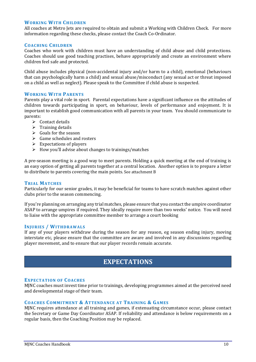#### <span id="page-9-0"></span>**WORKING WITH CHILDREN**

All coaches at Metro Jets are required to obtain and submit a Working with Children Check. For more information regarding these checks, please contact the Coach Co-Ordinator.

#### <span id="page-9-1"></span>**COACHING CHILDREN**

Coaches who work with children must have an understanding of child abuse and child protections. Coaches should use good teaching practises, behave appropriately and create an environment where children feel safe and protected.

Child abuse includes physical (non-accidental injury and/or harm to a child), emotional (behaviours that can psychologically harm a child) and sexual abuse/misconduct (any sexual act or threat imposed on a child as well as neglect). Please speak to the Committee if child abuse is suspected.

#### <span id="page-9-2"></span>**WORKING WITH PARENTS**

Parents play a vital role in sport. Parental expectations have a significant influence on the attitudes of children towards participating in sport, on behaviour, levels of performance and enjoyment. It is important to establish good communication with all parents in your team. You should communicate to parents:

- $\triangleright$  Contact details
- $\triangleright$  Training details
- $\triangleright$  Goals for the season
- $\triangleright$  Game schedules and rosters
- $\triangleright$  Expectations of players
- $\triangleright$  How you'll advise about changes to trainings/matches

A pre-season meeting is a good way to meet parents. Holding a quick meeting at the end of training is an easy option of getting all parents together at a central location. Another option is to prepare a letter to distribute to parents covering the main points. See attachment B

#### <span id="page-9-3"></span>**TRIAL MATCHES**

Particularly for our senior grades, it may be beneficial for teams to have scratch matches against other clubs prior to the season commencing.

If you're planning on arranging any trial matches, please ensure that you contact the umpire coordinator ASAP to arrange umpires if required. They ideally require more than two weeks' notice. You will need to liaise with the appropriate committee member to arrange a court booking

#### <span id="page-9-4"></span>**INJURIES / WITHDRAWALS**

If any of your players withdraw during the season for any reason, eg season ending injury, moving interstate etc, please ensure that the committee are aware and involved in any discussions regarding player movement, and to ensure that our player records remain accurate.

### **EXPECTATIONS**

#### <span id="page-9-6"></span><span id="page-9-5"></span>**EXPECTATION OF COACHES**

MJNC coaches must invest time prior to trainings, developing programmes aimed at the perceived need and developmental stage of their team.

#### <span id="page-9-7"></span>**COACHES COMMITMENT & ATTENDANCE AT TRAINING & GAMES**

MJNC requires attendance at all training and games, if extenuating circumstance occur, please contact the Secretary or Game Day Coordinator ASAP. If reliability and attendance is below requirements on a regular basis, then the Coaching Position may be replaced.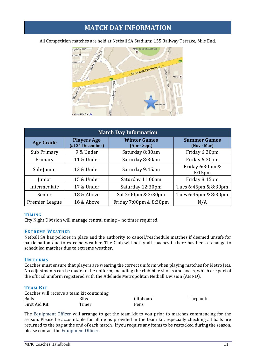# **MATCH DAY INFORMATION**

<span id="page-10-0"></span>All Competition matches are held at Netball SA Stadium: 155 Railway Terrace, Mile End.

![](_page_10_Figure_2.jpeg)

|                  |                                        | <b>Match Day Information</b>        |                                       |
|------------------|----------------------------------------|-------------------------------------|---------------------------------------|
| <b>Age Grade</b> | <b>Players Age</b><br>(at 31 December) | <b>Winter Games</b><br>(Apr - Sept) | <b>Summer Games</b><br>(Nov - Mar)    |
| Sub Primary      | 9 & Under                              | Saturday 8:30am                     | Friday 6:30pm                         |
| Primary          | 11 & Under                             | Saturday 8:30am                     | Friday 6:30pm                         |
| Sub-Junior       | 13 & Under                             | Saturday 9:45am                     | Friday 6:30pm &<br>8:15 <sub>pm</sub> |
| Junior           | 15 & Under                             | Saturday 11:00am                    | Friday 8:15pm                         |
| Intermediate     | 17 & Under                             | Saturday 12:30pm                    | Tues 6:45pm & 8:30pm                  |
| Senior           | 18 & Above                             | Sat 2:00pm & 3:30pm                 | Tues 6:45pm & 8:30pm                  |
| Premier League   | 16 & Above                             | Friday 7:00pm & 8:30pm              | N/A                                   |

#### <span id="page-10-1"></span>**TIMING**

City Night Division will manage central timing – no timer required.

#### <span id="page-10-2"></span>**EXTREME WEATHER**

Netball SA has policies in place and the authority to cancel/reschedule matches if deemed unsafe for participation due to extreme weather. The Club will notify all coaches if there has been a change to scheduled matches due to extreme weather.

#### <span id="page-10-3"></span>**UNIFORMS**

Coaches must ensure that players are wearing the correct uniform when playing matches for Metro Jets. No adjustments can be made to the uniform, including the club bike shorts and socks, which are part of the official uniform registered with the Adelaide Metropolitan Netball Division (AMND).

#### <span id="page-10-4"></span>**TEAM KIT**

| Coaches will receive a team kit containing: |       |           |           |
|---------------------------------------------|-------|-----------|-----------|
| <b>Balls</b>                                | Bibs  | Clipboard | Tarpaulin |
| First Aid Kit                               | Timer | Pens      |           |

The Equipment Officer will arrange to get the team kit to you prior to matches commencing for the season. Please be accountable for all items provided in the team kit, especially checking all balls are returned to the bag at the end of each match. If you require any items to be restocked during the season, please contact the Equipment Officer.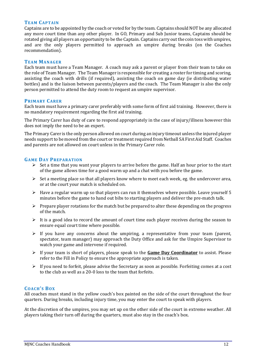#### <span id="page-11-0"></span>**TEAM CAPTAIN**

Captains are to be appointed by the coach or voted for by the team. Captains should NOT be any allocated any more court time than any other player. In GO, Primary and Sub Junior teams, Captains should be rotated giving all players an opportunity to be the Captain. Captains carry out the coin toss with umpires, and are the only players permitted to approach an umpire during breaks (on the Coaches recommendation).

#### <span id="page-11-1"></span>**TEAM MANAGER**

Each team must have a Team Manager. A coach may ask a parent or player from their team to take on the role of Team Manager. The Team Manager is responsible for creating a roster for timing and scoring, assisting the coach with drills (if required), assisting the coach on game day (ie distributing water bottles) and is the liaison between parents/players and the coach. The Team Manager is also the only person permitted to attend the duty room to request an umpire supervisor.

#### <span id="page-11-2"></span>**PRIMARY CARER**

Each team must have a primary carer preferably with some form of first aid training. However, there is no mandatory requirement regarding the first aid training.

The Primary Carer has duty of care to respond appropriately in the case of injury/illness however this does not imply the need to be an expert.

The Primary Carer is the only person allowed on court during an injury timeout unless the injured player needs support to be moved from the court or treatment required from Netball SA First Aid Staff. Coaches and parents are not allowed on court unless in the Primary Carer role.

#### <span id="page-11-3"></span>**GAME DAY PREPARATION**

- $\triangleright$  Set a time that you want your players to arrive before the game. Half an hour prior to the start of the game allows time for a good warm up and a chat with you before the game.
- ➢ Set a meeting place so that all players know where to meet each week, eg. the undercover area, or at the court your match is scheduled on.
- ➢ Have a regular warm up so that players can run it themselves where possible. Leave yourself 5 minutes before the game to hand out bibs to starting players and deliver the pre-match talk.
- $\triangleright$  Prepare player rotations for the match but be prepared to alter these depending on the progress of the match.
- $\triangleright$  It is a good idea to record the amount of court time each player receives during the season to ensure equal court time where possible.
- $\triangleright$  If you have any concerns about the umpiring, a representative from your team (parent, spectator, team manager) may approach the Duty Office and ask for the Umpire Supervisor to watch your game and intervene if required.
- ➢ If your team is short of players, please speak to the **Game Day Coordinator** to assist. Please refer to the Fill in Policy to ensure the appropriate approach is taken.
- $\triangleright$  If you need to forfeit, please advise the Secretary as soon as possible. Forfeiting comes at a cost to the club as well as a 20-0 loss to the team that forfeits.

#### <span id="page-11-4"></span>**COACH'S BOX**

All coaches must stand in the yellow coach's box painted on the side of the court throughout the four quarters. During breaks, including injury time, you may enter the court to speak with players.

At the discretion of the umpires, you may set up on the other side of the court in extreme weather. All players taking their turn off during the quarters, must also stay in the coach's box.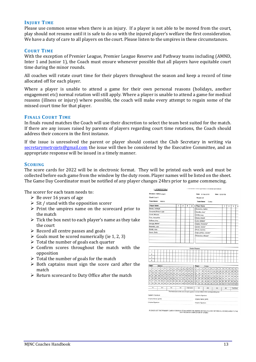#### <span id="page-12-0"></span>**INJURY TIME**

Please use common sense when there is an injury. If a player is not able to be moved from the court, play should not resume until it is safe to do so with the injured player's welfare the first consideration. We have a duty of care to all players on the court. Please listen to the umpires in these circumstances.

#### <span id="page-12-1"></span>**COURT TIME**

With the exception of Premier League, Premier League Reserve and Pathway teams including (AMND, Inter 1 and Junior 1), the Coach must ensure whenever possible that all players have equitable court time during the minor rounds.

All coaches will rotate court time for their players throughout the season and keep a record of time allocated off for each player.

Where a player is unable to attend a game for their own personal reasons (holidays, another engagement etc) normal rotation will still apply. Where a player is unable to attend a game for medical reasons (illness or injury) where possible, the coach will make every attempt to regain some of the missed court time for that player.

#### <span id="page-12-2"></span>**FINALS COURT TIME**

In finals round matches the Coach will use their discretion to select the team best suited for the match. If there are any issues raised by parents of players regarding court time rotations, the Coach should address their concern in the first instance.

If the issue is unresolved the parent or player should contact the Club Secretary in writing via [secretarymetrojets@gmail.com](mailto:secretarymetrojets@gmail.com) the issue will then be considered by the Executive Committee, and an appropriate response will be issued in a timely manner.

#### <span id="page-12-3"></span>**SCORING**

The score cards for 2022 will be in electronic format. They will be printed each week and must be collected before each game from the window by the duty room. Player names will be listed on the sheet. The Game Day Coordinator must be notified of any player changes 24hrs prior to game commencing.

The scorer for each team needs to:

- $\triangleright$  Be over 16 years of age
- $\triangleright$  Sit / stand with the opposition scorer
- ➢ Print the umpires name on the scorecard prior to the match
- $\triangleright$  Tick the box next to each player's name as they take the court
- $\triangleright$  Record all centre passes and goals
- $\triangleright$  Goals must be scored numerically (ie 1, 2, 3)
- $\triangleright$  Total the number of goals each quarter
- ➢ Confirm scores throughout the match with the opposition
- $\triangleright$  Total the number of goals for the match
- ➢ Both captains must sign the score card after the match
- ➢ Return scorecard to Duty Office after the match

|                       |                         |                       | 1111111  |          |          |                |                 |          |           |           |                         |               |                         |    | <b>INFRINTED HERMAN PROBATE ENVIRONMENT AND EQUALS</b>                                |                    |          |                      |                             |        |    |     |    |                |     |                         |    |                    |    |
|-----------------------|-------------------------|-----------------------|----------|----------|----------|----------------|-----------------|----------|-----------|-----------|-------------------------|---------------|-------------------------|----|---------------------------------------------------------------------------------------|--------------------|----------|----------------------|-----------------------------|--------|----|-----|----|----------------|-----|-------------------------|----|--------------------|----|
|                       |                         | Division: AMND League |          |          |          |                |                 |          |           |           |                         |               |                         |    |                                                                                       |                    |          | Date: 22 Sep 2018    |                             |        |    |     |    | Time: 02.00 PM |     |                         |    |                    |    |
|                       |                         | Court: Court 1        |          |          |          |                |                 |          |           |           |                         |               |                         |    |                                                                                       | Round: GF          |          |                      |                             |        |    |     |    |                |     |                         |    |                    |    |
|                       |                         | <b>Team Name:</b>     |          | Matrics  |          |                |                 |          |           |           |                         |               |                         |    |                                                                                       | Team Name:         |          |                      |                             | Contax |    |     |    |                |     |                         |    |                    |    |
|                       |                         | Player Name           |          |          |          |                |                 |          |           | 1         | $\overline{\mathbf{z}}$ |               | $\overline{\mathbf{3}}$ | 4  |                                                                                       | <b>Player Name</b> |          |                      |                             |        |    |     |    | 1              |     | $\overline{\mathbf{2}}$ | 3  |                    | A  |
|                       |                         | Beales, Ashleigh      |          |          |          |                |                 |          |           |           |                         |               |                         |    |                                                                                       |                    |          | Economou, Quillen    |                             |        |    |     |    |                |     |                         |    |                    |    |
|                       |                         | Campbell, Robyn-Leigh |          |          |          |                |                 |          |           |           |                         |               |                         |    |                                                                                       | Gaedike, Amy*      |          |                      |                             |        |    |     |    |                |     |                         |    |                    |    |
|                       |                         | Corell, Micaela       |          |          |          |                |                 |          |           |           |                         |               |                         |    |                                                                                       | Griffith, Lucy     |          |                      |                             |        |    |     |    |                |     |                         |    |                    |    |
|                       |                         | Fuss, Jacqueline      |          |          |          |                |                 |          |           |           |                         |               |                         |    |                                                                                       | Hunter, Eliza R.   |          |                      |                             |        |    |     |    |                |     |                         |    |                    |    |
|                       |                         | Hoffman, Arrw         |          |          |          |                |                 |          |           |           |                         |               |                         |    |                                                                                       | Lane, Bethany*     |          |                      |                             |        |    |     |    |                |     |                         |    |                    |    |
|                       |                         | George, Marlee*       |          |          |          |                |                 |          |           |           |                         |               |                         |    |                                                                                       |                    |          | OgiMe, Emmeline*     |                             |        |    |     |    |                |     |                         |    |                    |    |
|                       |                         | Reynolds, Lucy        |          |          |          |                |                 |          |           |           |                         |               |                         |    |                                                                                       | packer, maisie*    |          |                      |                             |        |    |     |    |                |     |                         |    |                    |    |
|                       | Schultz, Amy            |                       |          |          |          |                |                 |          |           |           |                         |               |                         |    |                                                                                       | Poole, Jasmine     |          |                      |                             |        |    |     |    |                |     |                         |    |                    |    |
|                       |                         | Yancic, Emily         |          |          |          |                |                 |          |           |           |                         |               |                         |    |                                                                                       |                    |          |                      | triglau-phillips, isabella* |        |    |     |    |                |     |                         |    |                    |    |
|                       |                         |                       |          |          |          |                |                 |          |           |           |                         |               |                         |    |                                                                                       |                    |          | Richardson, Mikaela* |                             |        |    |     |    |                |     |                         |    |                    |    |
|                       |                         |                       |          |          |          |                |                 |          |           |           |                         |               |                         |    |                                                                                       |                    |          |                      |                             |        |    |     |    |                |     |                         |    |                    |    |
|                       |                         |                       |          |          |          |                |                 |          |           |           |                         |               |                         |    |                                                                                       |                    |          |                      |                             |        |    |     |    |                |     |                         |    |                    |    |
|                       |                         |                       |          |          |          |                |                 |          |           |           |                         |               |                         |    |                                                                                       |                    |          |                      |                             |        |    |     |    |                |     |                         |    |                    |    |
|                       |                         |                       |          |          |          |                |                 |          |           |           |                         |               |                         |    | <b>Centre Passes</b>                                                                  |                    |          |                      |                             |        |    |     |    |                |     |                         |    |                    |    |
|                       | 1                       |                       |          |          |          |                |                 |          |           |           |                         |               |                         |    |                                                                                       |                    |          |                      |                             |        |    |     |    |                |     |                         |    |                    |    |
|                       | $\overline{\mathbf{z}}$ |                       |          |          |          |                |                 |          |           |           |                         |               |                         |    |                                                                                       |                    |          |                      |                             |        |    |     |    |                |     |                         |    |                    |    |
|                       | 3                       |                       |          |          |          |                |                 |          |           |           |                         |               |                         |    |                                                                                       |                    |          |                      |                             |        |    |     |    |                |     |                         |    |                    |    |
|                       | 4                       |                       |          |          |          |                |                 |          |           |           |                         |               |                         |    |                                                                                       |                    |          |                      |                             |        |    |     |    |                |     |                         |    |                    |    |
| Team:                 |                         |                       | Matrics  |          |          |                |                 |          |           |           |                         |               |                         |    |                                                                                       |                    |          |                      |                             |        |    |     |    |                |     |                         |    |                    |    |
| 1                     | $\overline{\mathbf{2}}$ | 3                     | 4        | 5        | 6        | $\overline{7}$ | 8               | 9        | 10        | 11        | 12                      | 13            | 14                      | 15 | Team:<br>1                                                                            | 2                  | з        | Contax<br>4          | 5                           | 6      | 7  | 8   | 9  | 10             | 11  | 12                      | 13 | 14                 | 1t |
| 16                    | 17                      | 18                    | 19       | 20       | 21       | 22             | 23              | 24       | 25        | 26        | 27                      | 28            | 29                      | 30 | 16                                                                                    | 17                 | 18       | 19                   | 20                          | 21     | 22 | 23  | 24 | 25             | 26  | 27                      | 28 | 29                 | 30 |
| 31                    | 32                      | 33                    | 34       | 35       | 36       | 37             | 38              | 39       | 40        | 41        | 42                      | 43            | 44                      | 45 | 31                                                                                    | 32                 | 33       | 34                   | 35                          | 36     | 37 | 38  | 39 | 40             | 41  | 42                      | 43 | 44                 | 45 |
| 46                    | 47                      | 48                    | 49       | 50       | 51       | 52             | 53              | 54       | 55        | 56        | 57                      | 58            | 59                      | 60 | 46                                                                                    | 47                 | 48       | 49                   | 50                          | 51     | 52 | 53  | 54 | 55             | 56  | 57                      | 58 | 59                 | 60 |
| 61<br>76              | 62<br>77                | 63                    | 64       | 65<br>80 | 66       | 67             | 68              | 69       | 70        | 71        | 72                      | 73            | 74                      | 75 | 61                                                                                    | 62                 | 63       | 64                   | 65                          | 66     | 67 | 68  | 89 | 70             | 71  | 72                      | 73 | 74                 | 75 |
| 91                    | 92                      | 78<br>93              | 79<br>94 | 95       | 81<br>95 | 82<br>97       | 83<br>98        | 84<br>99 | 85<br>100 | 86<br>101 | 87                      | 88<br>102 103 | 89<br>104 105           | 90 | 76<br>91                                                                              | 77<br>92           | 78<br>93 | 79<br>94             | 80<br>96                    | 81     | 82 | 83  | 84 | 85             | 86  | 87                      | 88 | 89                 | 90 |
|                       |                         |                       |          |          |          |                |                 |          |           |           |                         |               |                         |    |                                                                                       |                    |          |                      |                             | 96     | 97 | 98  | 99 | 100            | 101 | 102                     |    | 103 104 10         |    |
|                       | Tot.                    |                       |          | 2nd      |          |                | 3 <sub>Nd</sub> |          |           | 4th       |                         |               | Final Score             |    |                                                                                       | <b>SM</b>          |          |                      | 2nd                         |        |    | 3rd |    |                | 491 |                         |    | <b>Final Score</b> |    |
|                       |                         |                       |          |          |          |                |                 |          |           |           |                         |               |                         |    | The final score at the end of each quarter is to be written in the corresponding box. |                    |          |                      |                             |        |    |     |    |                |     |                         |    |                    |    |
| Captain's Signature:  |                         |                       |          |          |          |                |                 |          |           |           |                         |               |                         |    | Captain's Signature:                                                                  |                    |          |                      |                             |        |    |     |    |                |     |                         |    |                    |    |
| Umpires Name: (print) |                         |                       |          |          |          |                |                 |          |           |           |                         |               |                         |    | Umpires Name: (print)                                                                 |                    |          |                      |                             |        |    |     |    |                |     |                         |    |                    |    |
| Umpires Signature:    |                         |                       |          |          |          |                |                 |          |           |           |                         |               |                         |    | Umpires Signature:                                                                    |                    |          |                      |                             |        |    |     |    |                |     |                         |    |                    |    |
|                       |                         |                       |          |          |          |                |                 |          |           |           |                         |               |                         |    |                                                                                       |                    |          |                      |                             |        |    |     |    |                |     |                         |    |                    |    |

PLEASE UST THE PRIMARY CARER FOR EACH TEAM UNDER THE UMPIRE DETAILS, PLEASE RETURN ALL SCORECARDS TO THE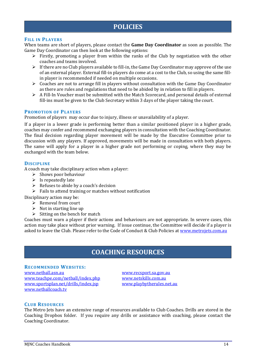# **POLICIES**

#### <span id="page-13-1"></span><span id="page-13-0"></span>**FILL IN PLAYERS**

When teams are short of players, please contact the **Game Day Coordinator** as soon as possible. The Game Day Coordinator can then look at the following options:

- ➢ Firstly, promoting a player from within the ranks of the Club by negotiation with the other coaches and teams involved.
- $\triangleright$  If there are no Club players available to fill-in, the Game Day Coordinator may approve of the use of an external player. External fill-in players do come at a cost to the Club, so using the same fillin player is recommended if needed on multiple occasions.
- ➢ Coaches are not to arrange fill in players without consultation with the Game Day Coordinator as there are rules and regulations that need to be abided by in relation to fill in players.
- ➢ A Fill-In Voucher must be submitted with the Match Scorecard, and personal details of external fill-ins must be given to the Club Secretary within 3 days of the player taking the court.

#### <span id="page-13-2"></span>**PROMOTION OF PLAYERS**

Promotion of players may occur due to injury, illness or unavailability of a player.

If a player in a lower grade is performing better than a similar positioned player in a higher grade, coaches may confer and recommend exchanging players in consultation with the Coaching Coordinator. The final decision regarding player movement will be made by the Executive Committee prior to discussion with any players. If approved, movements will be made in consultation with both players. The same will apply for a player in a higher grade not performing or coping, where they may be exchanged with the team below.

#### <span id="page-13-3"></span>**DISCIPLINE**

A coach may take disciplinary action when a player:

- $\triangleright$  Shows poor behaviour
- $\triangleright$  Is repeatedly late
- ➢ Refuses to abide by a coach's decision
- $\triangleright$  Fails to attend training or matches without notification

Disciplinary action may be:

- ➢ Removal from court
- $\triangleright$  Not in starting line up
- $\triangleright$  Sitting on the bench for match

Coaches must warn a player if their actions and behaviours are not appropriate. In severe cases, this action may take place without prior warning. If issue continue, the Committee will decide if a player is asked to leave the Club. Please refer to the Code of Conduct & Club Policies at [www.metrojets.com.au](http://www.metrojets.com.au/)

# **COACHING RESOURCES**

#### <span id="page-13-5"></span><span id="page-13-4"></span>**RECOMMENDED WEBSITES:**

[www.netball.asn.au](http://www.netball.asn.au/) [www.recsport.sa.gov.au](http://www.recsport.sa.gov.au/) [www.teachpe.com/netball/index.php](http://www.teachpe.com/netball/index.php) [www.netskills.com.au](http://www.netskills.com.au/) [www.sportsplan.net/drills/index.jsp](http://www.sportsplan.net/drills/index.jsp) [www.playbytherules.net.au](http://www.playbytherules.net.au/) [www.netballcoach.tv](http://www.netballcoach.tv/)

#### <span id="page-13-6"></span>**CLUB RESOURCES**

The Metro Jets have an extensive range of resources available to Club Coaches. Drills are stored in the Coaching Dropbox folder. If you require any drills or assistance with coaching, please contact the Coaching Coordinator.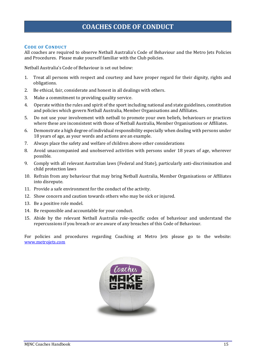# **COACHES CODE OF CONDUCT**

#### <span id="page-14-1"></span><span id="page-14-0"></span>**CODE OF CONDUCT**

All coaches are required to observe Netball Australia's Code of Behaviour and the Metro Jets Policies and Procedures. Please make yourself familiar with the Club policies.

Netball Australia's Code of Behaviour is set out below:

- 1. Treat all persons with respect and courtesy and have proper regard for their dignity, rights and obligations.
- 2. Be ethical, fair, considerate and honest in all dealings with others.
- 3. Make a commitment to providing quality service.
- 4. Operate within the rules and spirit of the sport including national and state guidelines, constitution and policies which govern Netball Australia, Member Organisations and Affiliates.
- 5. Do not use your involvement with netball to promote your own beliefs, behaviours or practices where these are inconsistent with those of Netball Australia, Member Organisations or Affiliates.
- 6. Demonstrate a high degree of individual responsibility especially when dealing with persons under 18 years of age, as your words and actions are an example.
- 7. Always place the safety and welfare of children above other considerations
- 8. Avoid unaccompanied and unobserved activities with persons under 18 years of age, wherever possible.
- 9. Comply with all relevant Australian laws (Federal and State), particularly anti-discrimination and child protection laws
- 10. Refrain from any behaviour that may bring Netball Australia, Member Organisations or Affiliates into disrepute.
- 11. Provide a safe environment for the conduct of the activity.
- 12. Show concern and caution towards others who may be sick or injured.
- 13. Be a positive role model.
- 14. Be responsible and accountable for your conduct.
- 15. Abide by the relevant Netball Australia role-specific codes of behaviour and understand the repercussions if you breach or are aware of any breaches of this Code of Behaviour.

For policies and procedures regarding Coaching at Metro Jets please go to the website: [www.metrojets.com](http://www.metrojets.com/)

![](_page_14_Picture_20.jpeg)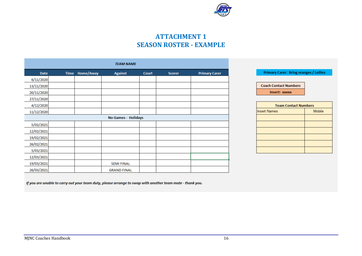![](_page_15_Picture_0.jpeg)

**Primary Carer: Bring oranges / Lollies** 

**Team Contact Numbers** 

Mobile

**Coach Contact Numbers** Insert: xxxxx

**Insert Names** 

# **ATTACHMENT 1 SEASON ROSTER - EXAMPLE**

|            |             |           | <b>TEAM NAME</b>           |       |               |                      |
|------------|-------------|-----------|----------------------------|-------|---------------|----------------------|
| Date       | <b>Time</b> | Home/Away | <b>Against</b>             | Court | <b>Scorer</b> | <b>Primary Carer</b> |
| 6/11/2020  |             |           |                            |       |               |                      |
| 13/11/2020 |             |           |                            |       |               |                      |
| 20/11/2020 |             |           |                            |       |               |                      |
| 27/11/2020 |             |           |                            |       |               |                      |
| 4/12/2020  |             |           |                            |       |               |                      |
| 11/12/2020 |             |           |                            |       |               |                      |
|            |             |           | <b>No Games - Holidays</b> |       |               |                      |
| 5/02/2021  |             |           |                            |       |               |                      |
| 12/02/2021 |             |           |                            |       |               |                      |
| 19/02/2021 |             |           |                            |       |               |                      |
| 26/02/2021 |             |           |                            |       |               |                      |
| 5/03/2021  |             |           |                            |       |               |                      |
| 12/03/2021 |             |           |                            |       |               |                      |
| 19/03/2021 |             |           | <b>SEMI FINAL</b>          |       |               |                      |
| 26/03/2021 |             |           | <b>GRAND FINAL</b>         |       |               |                      |

<span id="page-15-1"></span><span id="page-15-0"></span>If you are unable to carry out your team duty, please arrange to swap with another team mate - thank you.